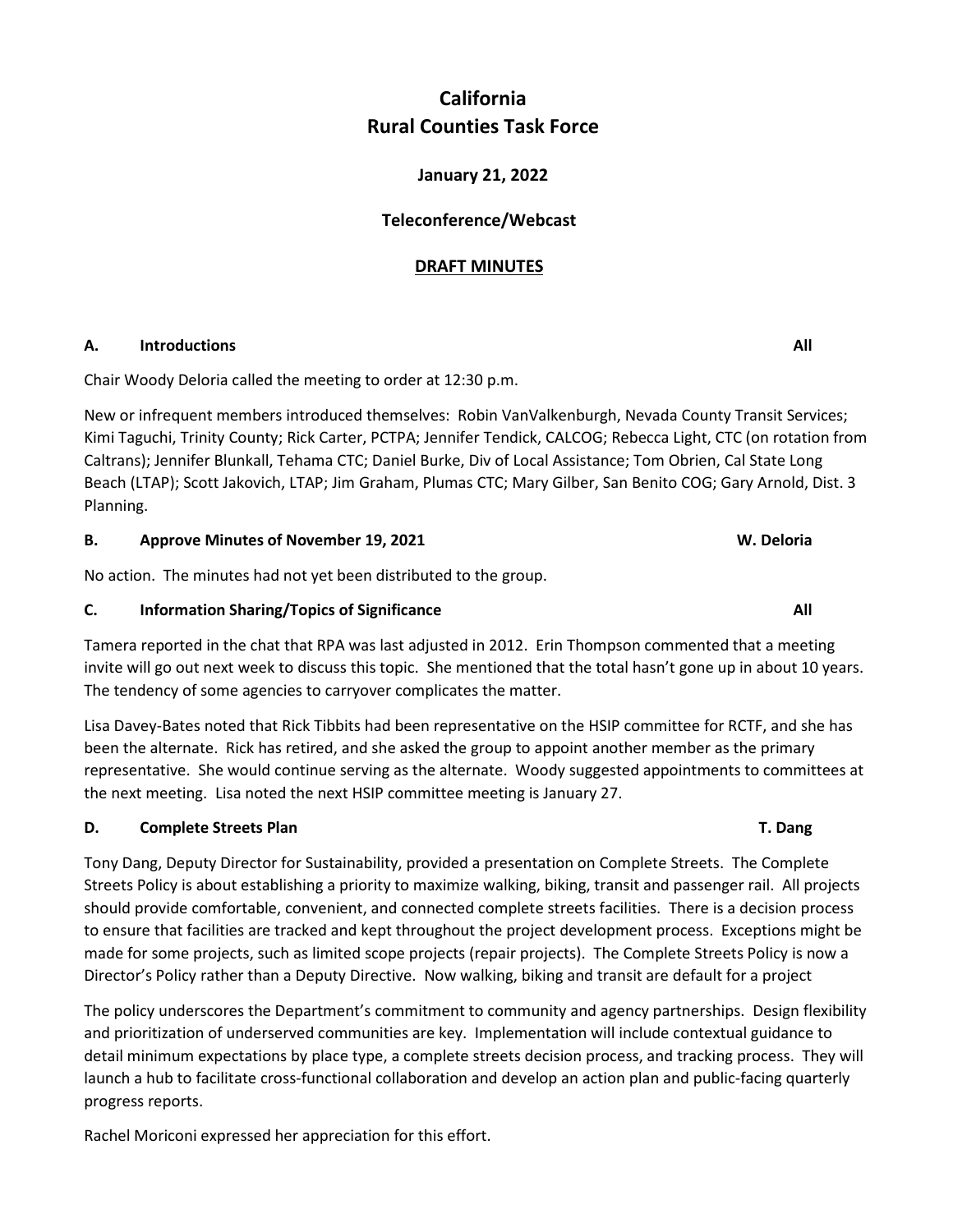# **California Rural Counties Task Force**

# **January 21, 2022**

## **Teleconference/Webcast**

## **DRAFT MINUTES**

## **A.** Introductions All **All All All All**

Chair Woody Deloria called the meeting to order at 12:30 p.m.

New or infrequent members introduced themselves: Robin VanValkenburgh, Nevada County Transit Services; Kimi Taguchi, Trinity County; Rick Carter, PCTPA; Jennifer Tendick, CALCOG; Rebecca Light, CTC (on rotation from Caltrans); Jennifer Blunkall, Tehama CTC; Daniel Burke, Div of Local Assistance; Tom Obrien, Cal State Long Beach (LTAP); Scott Jakovich, LTAP; Jim Graham, Plumas CTC; Mary Gilber, San Benito COG; Gary Arnold, Dist. 3 Planning.

**B.** Approve Minutes of November 19, 2021 **W. Deloria W. Deloria** 

No action. The minutes had not yet been distributed to the group.

## **C.** Information Sharing/Topics of Significance **All** *All* **<b>All All All All All All All All All All All All All All All All All All All All All All All All All All All**

Tamera reported in the chat that RPA was last adjusted in 2012. Erin Thompson commented that a meeting invite will go out next week to discuss this topic. She mentioned that the total hasn't gone up in about 10 years. The tendency of some agencies to carryover complicates the matter.

Lisa Davey-Bates noted that Rick Tibbits had been representative on the HSIP committee for RCTF, and she has been the alternate. Rick has retired, and she asked the group to appoint another member as the primary representative. She would continue serving as the alternate. Woody suggested appointments to committees at the next meeting. Lisa noted the next HSIP committee meeting is January 27.

## **D.** Complete Streets Plan **T. Dang D.** Complete Streets Plan

Tony Dang, Deputy Director for Sustainability, provided a presentation on Complete Streets. The Complete Streets Policy is about establishing a priority to maximize walking, biking, transit and passenger rail. All projects should provide comfortable, convenient, and connected complete streets facilities. There is a decision process to ensure that facilities are tracked and kept throughout the project development process. Exceptions might be made for some projects, such as limited scope projects (repair projects). The Complete Streets Policy is now a Director's Policy rather than a Deputy Directive. Now walking, biking and transit are default for a project

The policy underscores the Department's commitment to community and agency partnerships. Design flexibility and prioritization of underserved communities are key. Implementation will include contextual guidance to detail minimum expectations by place type, a complete streets decision process, and tracking process. They will launch a hub to facilitate cross-functional collaboration and develop an action plan and public-facing quarterly progress reports.

Rachel Moriconi expressed her appreciation for this effort.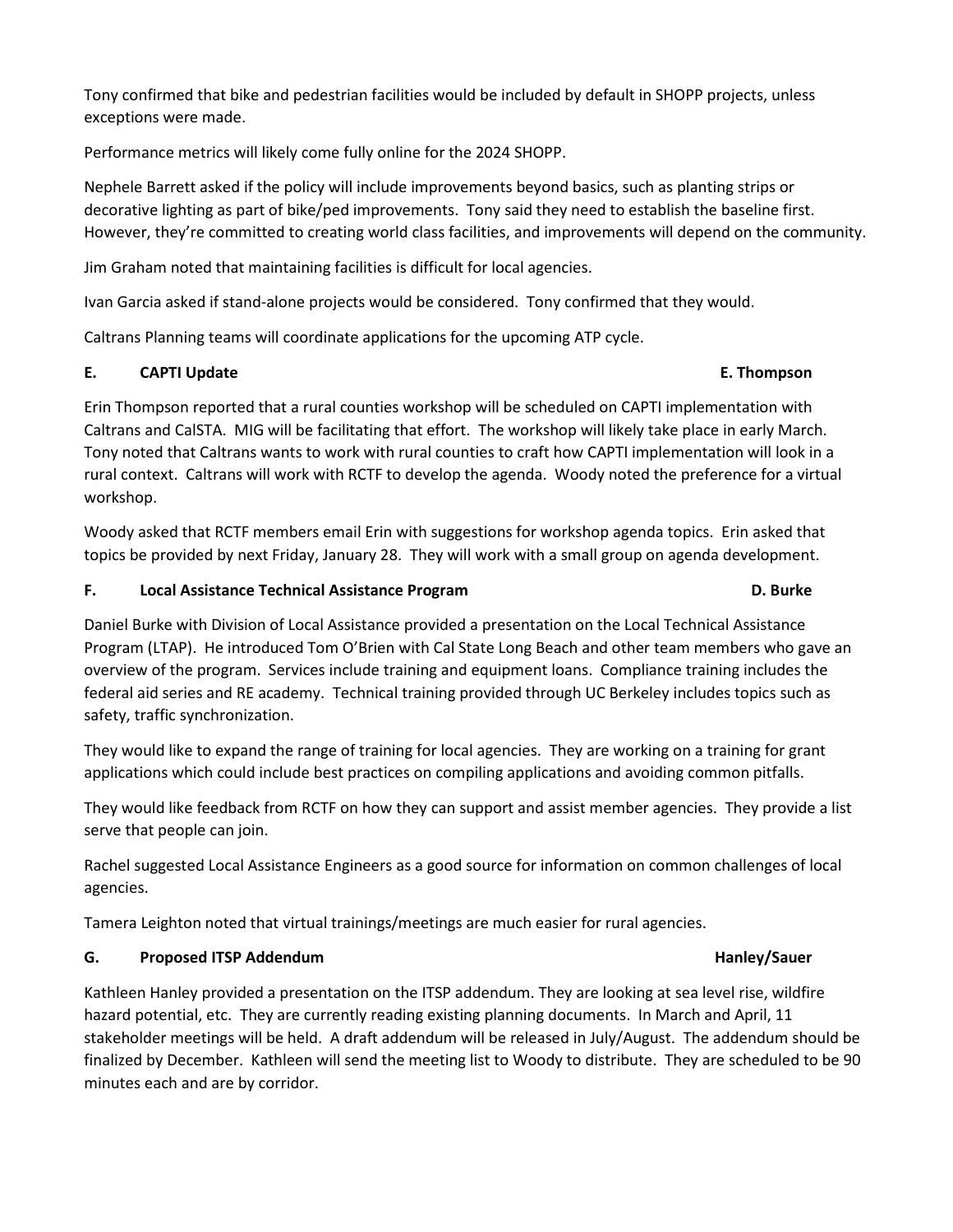Tony confirmed that bike and pedestrian facilities would be included by default in SHOPP projects, unless exceptions were made.

Performance metrics will likely come fully online for the 2024 SHOPP.

Nephele Barrett asked if the policy will include improvements beyond basics, such as planting strips or decorative lighting as part of bike/ped improvements. Tony said they need to establish the baseline first. However, they're committed to creating world class facilities, and improvements will depend on the community.

Jim Graham noted that maintaining facilities is difficult for local agencies.

Ivan Garcia asked if stand-alone projects would be considered. Tony confirmed that they would.

Caltrans Planning teams will coordinate applications for the upcoming ATP cycle.

## **E. CAPTI Update E. Thompson**

Erin Thompson reported that a rural counties workshop will be scheduled on CAPTI implementation with Caltrans and CalSTA. MIG will be facilitating that effort. The workshop will likely take place in early March. Tony noted that Caltrans wants to work with rural counties to craft how CAPTI implementation will look in a rural context. Caltrans will work with RCTF to develop the agenda. Woody noted the preference for a virtual workshop.

Woody asked that RCTF members email Erin with suggestions for workshop agenda topics. Erin asked that topics be provided by next Friday, January 28. They will work with a small group on agenda development.

## **F.** Local Assistance Technical Assistance Program **D. Burke 1996 D. Burke D. Burke**

# Daniel Burke with Division of Local Assistance provided a presentation on the Local Technical Assistance Program (LTAP). He introduced Tom O'Brien with Cal State Long Beach and other team members who gave an overview of the program. Services include training and equipment loans. Compliance training includes the federal aid series and RE academy. Technical training provided through UC Berkeley includes topics such as safety, traffic synchronization.

They would like to expand the range of training for local agencies. They are working on a training for grant applications which could include best practices on compiling applications and avoiding common pitfalls.

They would like feedback from RCTF on how they can support and assist member agencies. They provide a list serve that people can join.

Rachel suggested Local Assistance Engineers as a good source for information on common challenges of local agencies.

Tamera Leighton noted that virtual trainings/meetings are much easier for rural agencies.

# **G.** Proposed ITSP Addendum **Hanley Addentision Hanley/Sauer and Addenture Proposed ITSP Addendum**

Kathleen Hanley provided a presentation on the ITSP addendum. They are looking at sea level rise, wildfire hazard potential, etc. They are currently reading existing planning documents. In March and April, 11 stakeholder meetings will be held. A draft addendum will be released in July/August. The addendum should be finalized by December. Kathleen will send the meeting list to Woody to distribute. They are scheduled to be 90 minutes each and are by corridor.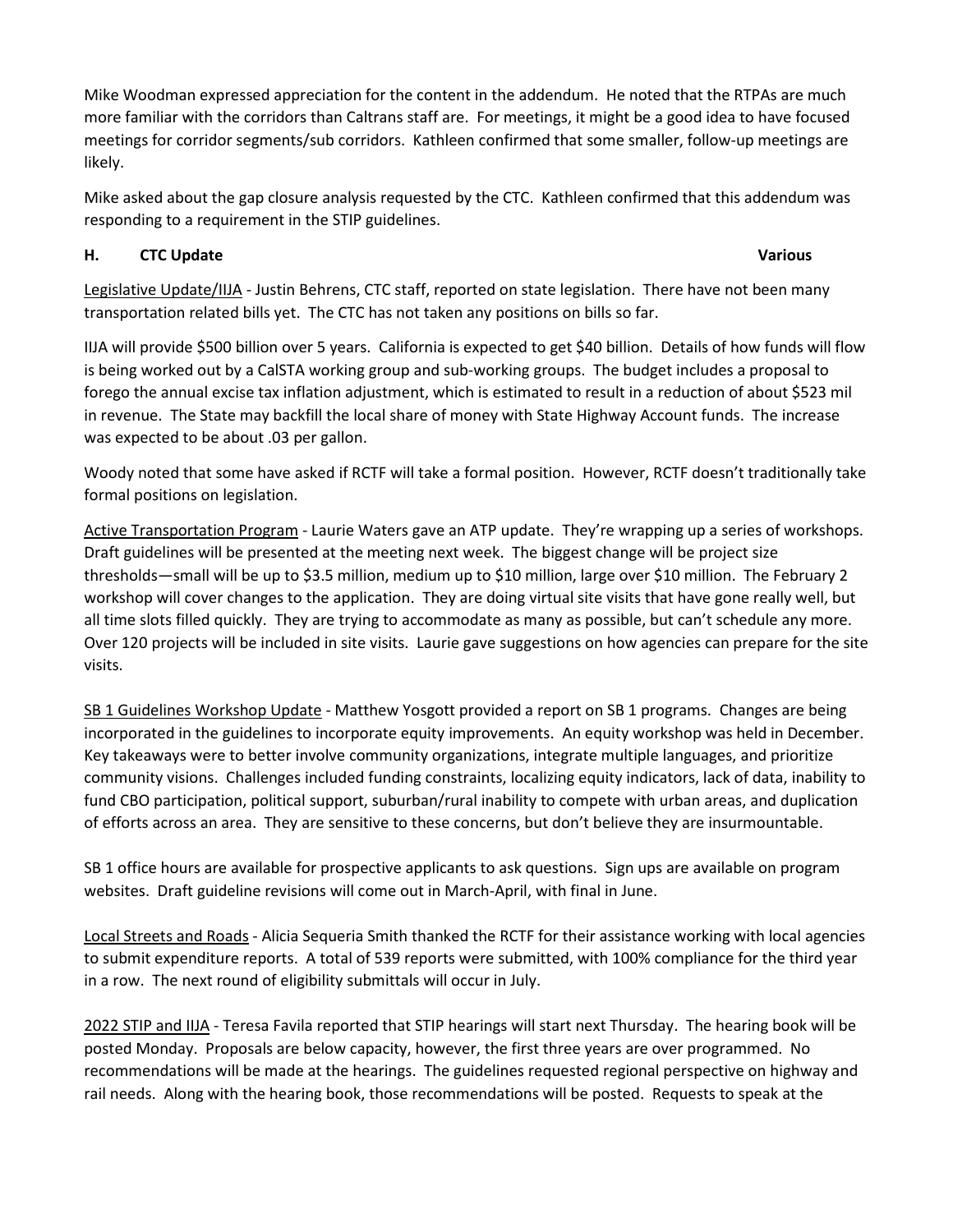Mike Woodman expressed appreciation for the content in the addendum. He noted that the RTPAs are much more familiar with the corridors than Caltrans staff are. For meetings, it might be a good idea to have focused meetings for corridor segments/sub corridors. Kathleen confirmed that some smaller, follow-up meetings are likely.

Mike asked about the gap closure analysis requested by the CTC. Kathleen confirmed that this addendum was responding to a requirement in the STIP guidelines.

# **H.** CTC Update **Various Accord 2012 12:00 Various Various Various**

Legislative Update/IIJA - Justin Behrens, CTC staff, reported on state legislation. There have not been many transportation related bills yet. The CTC has not taken any positions on bills so far.

IIJA will provide \$500 billion over 5 years. California is expected to get \$40 billion. Details of how funds will flow is being worked out by a CalSTA working group and sub-working groups. The budget includes a proposal to forego the annual excise tax inflation adjustment, which is estimated to result in a reduction of about \$523 mil in revenue. The State may backfill the local share of money with State Highway Account funds. The increase was expected to be about .03 per gallon.

Woody noted that some have asked if RCTF will take a formal position. However, RCTF doesn't traditionally take formal positions on legislation.

Active Transportation Program - Laurie Waters gave an ATP update. They're wrapping up a series of workshops. Draft guidelines will be presented at the meeting next week. The biggest change will be project size thresholds—small will be up to \$3.5 million, medium up to \$10 million, large over \$10 million. The February 2 workshop will cover changes to the application. They are doing virtual site visits that have gone really well, but all time slots filled quickly. They are trying to accommodate as many as possible, but can't schedule any more. Over 120 projects will be included in site visits. Laurie gave suggestions on how agencies can prepare for the site visits.

SB 1 Guidelines Workshop Update - Matthew Yosgott provided a report on SB 1 programs. Changes are being incorporated in the guidelines to incorporate equity improvements. An equity workshop was held in December. Key takeaways were to better involve community organizations, integrate multiple languages, and prioritize community visions. Challenges included funding constraints, localizing equity indicators, lack of data, inability to fund CBO participation, political support, suburban/rural inability to compete with urban areas, and duplication of efforts across an area. They are sensitive to these concerns, but don't believe they are insurmountable.

SB 1 office hours are available for prospective applicants to ask questions. Sign ups are available on program websites. Draft guideline revisions will come out in March-April, with final in June.

Local Streets and Roads - Alicia Sequeria Smith thanked the RCTF for their assistance working with local agencies to submit expenditure reports. A total of 539 reports were submitted, with 100% compliance for the third year in a row. The next round of eligibility submittals will occur in July.

2022 STIP and IIJA - Teresa Favila reported that STIP hearings will start next Thursday. The hearing book will be posted Monday. Proposals are below capacity, however, the first three years are over programmed. No recommendations will be made at the hearings. The guidelines requested regional perspective on highway and rail needs. Along with the hearing book, those recommendations will be posted. Requests to speak at the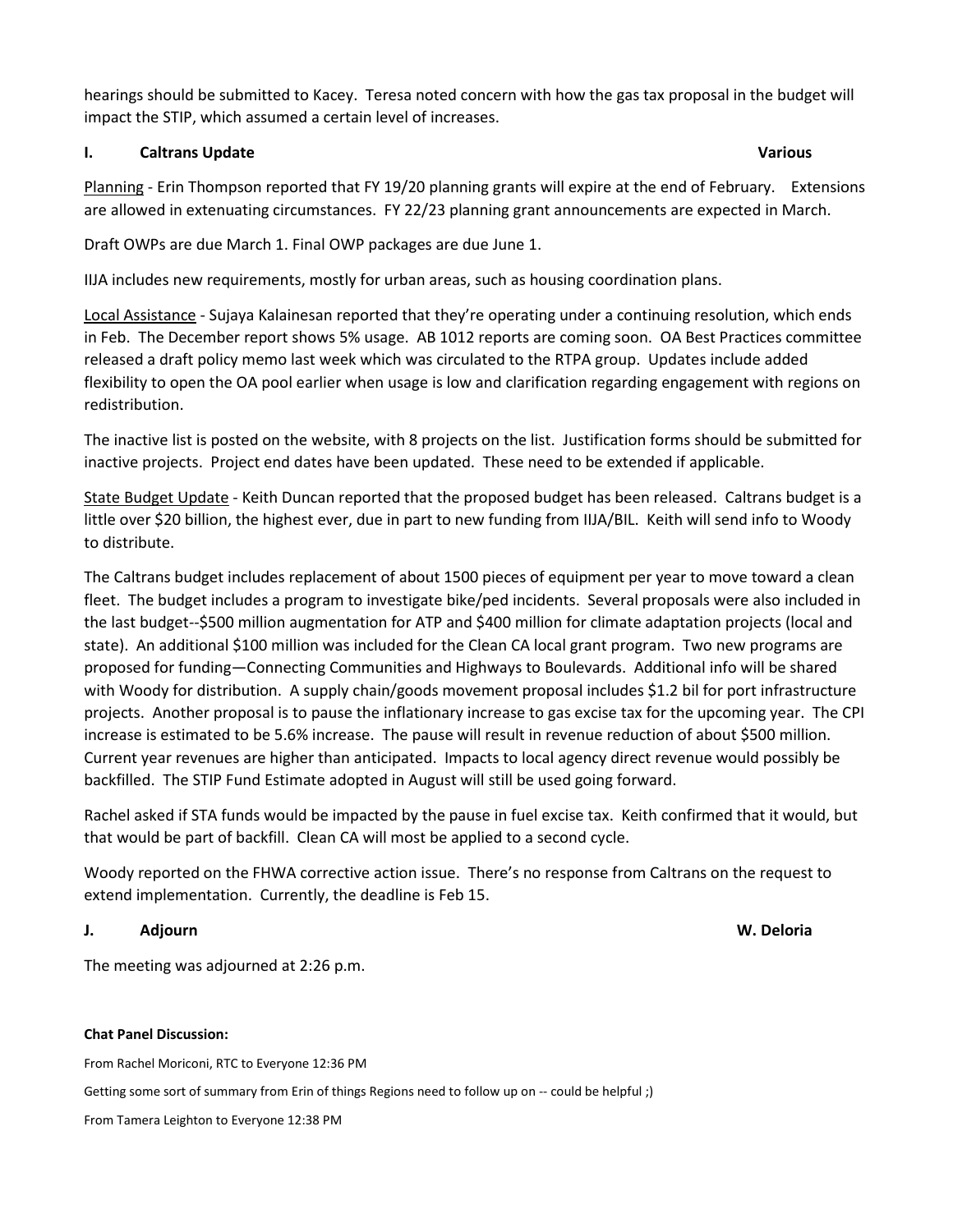hearings should be submitted to Kacey. Teresa noted concern with how the gas tax proposal in the budget will impact the STIP, which assumed a certain level of increases.

### **I.** Caltrans Update **Various Access 1. In the Caltrans Caltrans Update** Various **Various**

Planning - Erin Thompson reported that FY 19/20 planning grants will expire at the end of February. Extensions are allowed in extenuating circumstances. FY 22/23 planning grant announcements are expected in March.

Draft OWPs are due March 1. Final OWP packages are due June 1.

IIJA includes new requirements, mostly for urban areas, such as housing coordination plans.

Local Assistance - Sujaya Kalainesan reported that they're operating under a continuing resolution, which ends in Feb. The December report shows 5% usage. AB 1012 reports are coming soon. OA Best Practices committee released a draft policy memo last week which was circulated to the RTPA group. Updates include added flexibility to open the OA pool earlier when usage is low and clarification regarding engagement with regions on redistribution.

The inactive list is posted on the website, with 8 projects on the list. Justification forms should be submitted for inactive projects. Project end dates have been updated. These need to be extended if applicable.

State Budget Update - Keith Duncan reported that the proposed budget has been released. Caltrans budget is a little over \$20 billion, the highest ever, due in part to new funding from IIJA/BIL. Keith will send info to Woody to distribute.

The Caltrans budget includes replacement of about 1500 pieces of equipment per year to move toward a clean fleet. The budget includes a program to investigate bike/ped incidents. Several proposals were also included in the last budget--\$500 million augmentation for ATP and \$400 million for climate adaptation projects (local and state). An additional \$100 million was included for the Clean CA local grant program. Two new programs are proposed for funding—Connecting Communities and Highways to Boulevards. Additional info will be shared with Woody for distribution. A supply chain/goods movement proposal includes \$1.2 bil for port infrastructure projects. Another proposal is to pause the inflationary increase to gas excise tax for the upcoming year. The CPI increase is estimated to be 5.6% increase. The pause will result in revenue reduction of about \$500 million. Current year revenues are higher than anticipated. Impacts to local agency direct revenue would possibly be backfilled. The STIP Fund Estimate adopted in August will still be used going forward.

Rachel asked if STA funds would be impacted by the pause in fuel excise tax. Keith confirmed that it would, but that would be part of backfill. Clean CA will most be applied to a second cycle.

Woody reported on the FHWA corrective action issue. There's no response from Caltrans on the request to extend implementation. Currently, the deadline is Feb 15.

## **J. Adjourn W. Deloria**

The meeting was adjourned at 2:26 p.m.

### **Chat Panel Discussion:**

From Rachel Moriconi, RTC to Everyone 12:36 PM

Getting some sort of summary from Erin of things Regions need to follow up on -- could be helpful ;)

From Tamera Leighton to Everyone 12:38 PM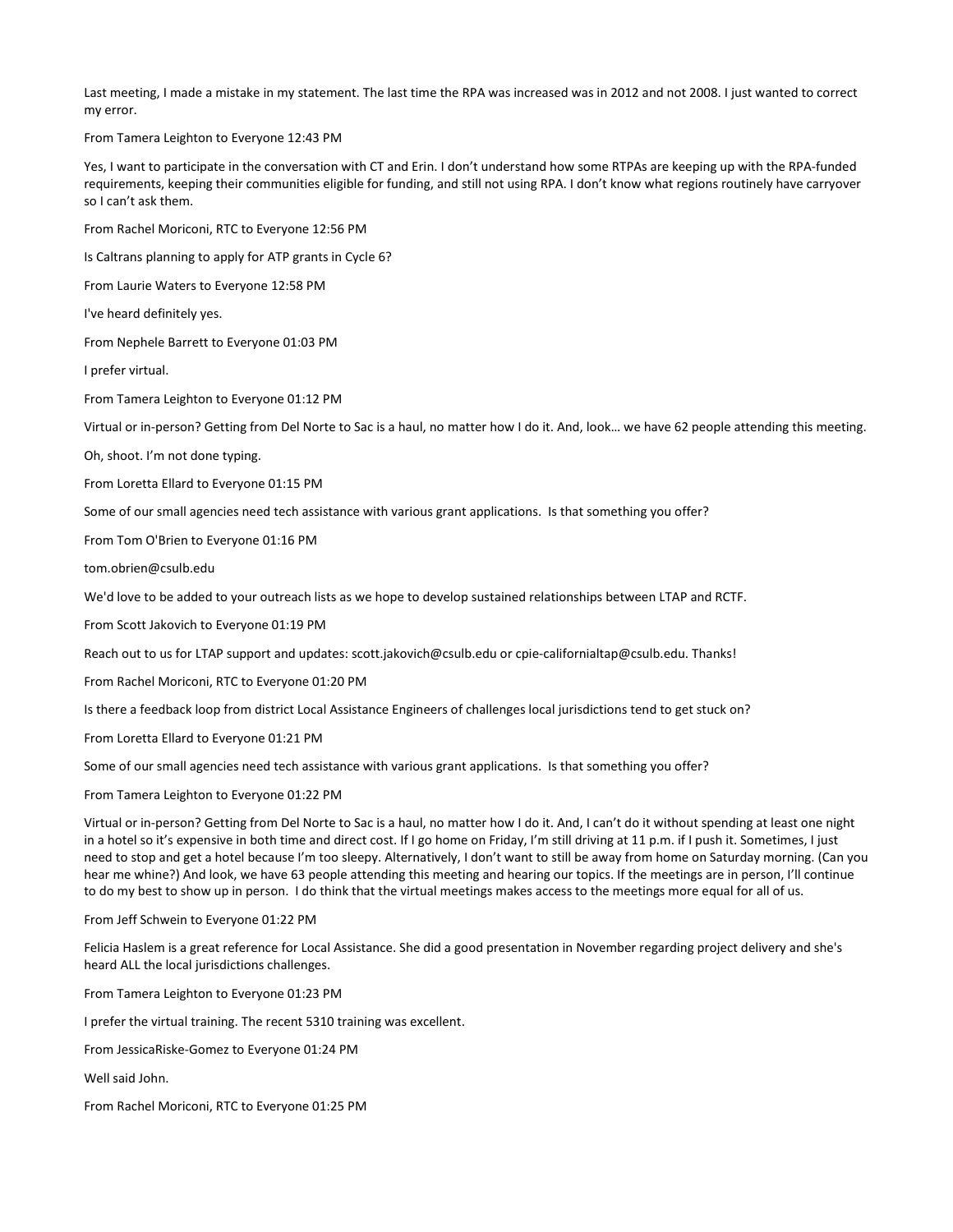Last meeting, I made a mistake in my statement. The last time the RPA was increased was in 2012 and not 2008. I just wanted to correct my error.

From Tamera Leighton to Everyone 12:43 PM

Yes, I want to participate in the conversation with CT and Erin. I don't understand how some RTPAs are keeping up with the RPA-funded requirements, keeping their communities eligible for funding, and still not using RPA. I don't know what regions routinely have carryover so I can't ask them.

From Rachel Moriconi, RTC to Everyone 12:56 PM

Is Caltrans planning to apply for ATP grants in Cycle 6?

From Laurie Waters to Everyone 12:58 PM

I've heard definitely yes.

From Nephele Barrett to Everyone 01:03 PM

I prefer virtual.

From Tamera Leighton to Everyone 01:12 PM

Virtual or in-person? Getting from Del Norte to Sac is a haul, no matter how I do it. And, look… we have 62 people attending this meeting.

Oh, shoot. I'm not done typing.

From Loretta Ellard to Everyone 01:15 PM

Some of our small agencies need tech assistance with various grant applications. Is that something you offer?

From Tom O'Brien to Everyone 01:16 PM

tom.obrien@csulb.edu

We'd love to be added to your outreach lists as we hope to develop sustained relationships between LTAP and RCTF.

From Scott Jakovich to Everyone 01:19 PM

Reach out to us for LTAP support and updates: scott.jakovich@csulb.edu or cpie-californialtap@csulb.edu. Thanks!

From Rachel Moriconi, RTC to Everyone 01:20 PM

Is there a feedback loop from district Local Assistance Engineers of challenges local jurisdictions tend to get stuck on?

From Loretta Ellard to Everyone 01:21 PM

Some of our small agencies need tech assistance with various grant applications. Is that something you offer?

From Tamera Leighton to Everyone 01:22 PM

Virtual or in-person? Getting from Del Norte to Sac is a haul, no matter how I do it. And, I can't do it without spending at least one night in a hotel so it's expensive in both time and direct cost. If I go home on Friday, I'm still driving at 11 p.m. if I push it. Sometimes, I just need to stop and get a hotel because I'm too sleepy. Alternatively, I don't want to still be away from home on Saturday morning. (Can you hear me whine?) And look, we have 63 people attending this meeting and hearing our topics. If the meetings are in person, I'll continue to do my best to show up in person. I do think that the virtual meetings makes access to the meetings more equal for all of us.

From Jeff Schwein to Everyone 01:22 PM

Felicia Haslem is a great reference for Local Assistance. She did a good presentation in November regarding project delivery and she's heard ALL the local jurisdictions challenges.

From Tamera Leighton to Everyone 01:23 PM

I prefer the virtual training. The recent 5310 training was excellent.

From JessicaRiske-Gomez to Everyone 01:24 PM

Well said John.

From Rachel Moriconi, RTC to Everyone 01:25 PM